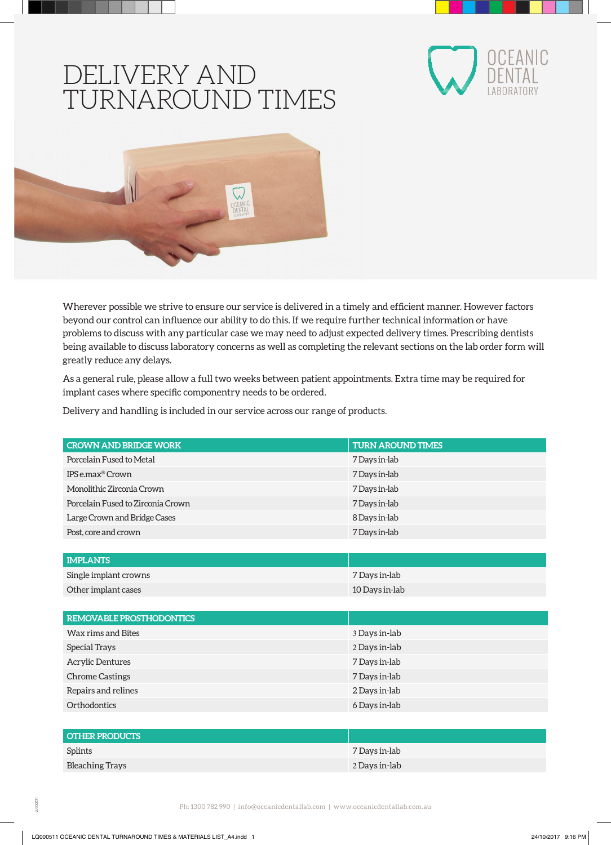## DELIVERY AN Turnaround Times





Wherever possible we strive to ensure our service is delivered in a timely and efficient manner. However factors beyond our control can influence our ability to do this. If we require further technical information or have problems to discuss with any particular case we may need to adjust expected delivery times. Prescribing dentists being available to discuss laboratory concerns as well as completing the relevant sections on the lab order form will greatly reduce any delays.

As a general rule, please allow a full two weeks between patient appointments. Extra time may be required for implant cases where specific componentry needs to be ordered.

Delivery and handling is included in our service across our range of products.

| <b>CROWN AND BRIDGE WORK</b>      | <b>TURN AROUND TIMES</b> |
|-----------------------------------|--------------------------|
| Porcelain Fused to Metal          | 7 Days in-lab            |
|                                   |                          |
| IPS e.max <sup>®</sup> Crown      | 7 Days in-lab            |
| Monolithic Zirconia Crown         | 7 Days in-lab            |
| Porcelain Fused to Zirconia Crown | 7 Days in-lab            |
| Large Crown and Bridge Cases      | 8 Days in-lab            |
| Post, core and crown              | 7 Days in-lab            |
|                                   |                          |
| <b>IMPLANTS</b>                   |                          |
| Single implant crowns             | 7 Days in-lab            |
| Other implant cases               | 10 Days in-lab           |
|                                   |                          |
| REMOVABLE PROSTHODONTICS          |                          |
| Wax rims and Bites                | 3 Days in-lab            |
| <b>Special Trays</b>              | 2 Days in-lab            |
| <b>Acrylic Dentures</b>           | 7 Days in-lab            |
| <b>Chrome Castings</b>            | 7 Days in-lab            |
| Repairs and relines               | 2 Days in-lab            |
| Orthodontics                      | 6 Days in-lab            |
|                                   |                          |
| <b>OTHER PRODUCTS</b>             |                          |

| <b>OTHER PRODUCTS</b> |               |
|-----------------------|---------------|
| Splints               | 7 Davs in-lab |
| Bleaching Trays       | 2 Days in-lab |